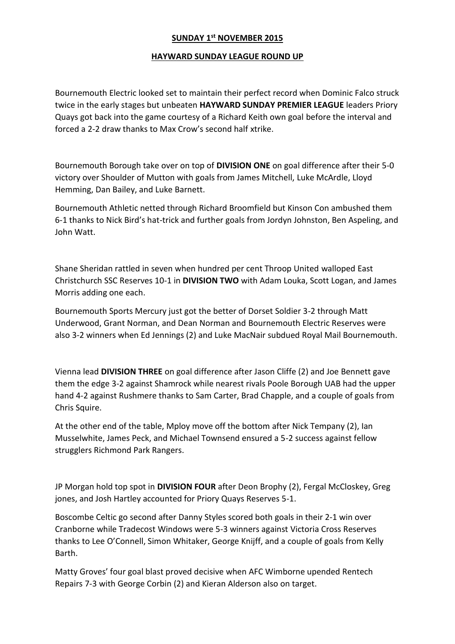## **SUNDAY 1st NOVEMBER 2015**

## **HAYWARD SUNDAY LEAGUE ROUND UP**

Bournemouth Electric looked set to maintain their perfect record when Dominic Falco struck twice in the early stages but unbeaten **HAYWARD SUNDAY PREMIER LEAGUE** leaders Priory Quays got back into the game courtesy of a Richard Keith own goal before the interval and forced a 2-2 draw thanks to Max Crow's second half xtrike.

Bournemouth Borough take over on top of **DIVISION ONE** on goal difference after their 5-0 victory over Shoulder of Mutton with goals from James Mitchell, Luke McArdle, Lloyd Hemming, Dan Bailey, and Luke Barnett.

Bournemouth Athletic netted through Richard Broomfield but Kinson Con ambushed them 6-1 thanks to Nick Bird's hat-trick and further goals from Jordyn Johnston, Ben Aspeling, and John Watt.

Shane Sheridan rattled in seven when hundred per cent Throop United walloped East Christchurch SSC Reserves 10-1 in **DIVISION TWO** with Adam Louka, Scott Logan, and James Morris adding one each.

Bournemouth Sports Mercury just got the better of Dorset Soldier 3-2 through Matt Underwood, Grant Norman, and Dean Norman and Bournemouth Electric Reserves were also 3-2 winners when Ed Jennings (2) and Luke MacNair subdued Royal Mail Bournemouth.

Vienna lead **DIVISION THREE** on goal difference after Jason Cliffe (2) and Joe Bennett gave them the edge 3-2 against Shamrock while nearest rivals Poole Borough UAB had the upper hand 4-2 against Rushmere thanks to Sam Carter, Brad Chapple, and a couple of goals from Chris Squire.

At the other end of the table, Mploy move off the bottom after Nick Tempany (2), Ian Musselwhite, James Peck, and Michael Townsend ensured a 5-2 success against fellow strugglers Richmond Park Rangers.

JP Morgan hold top spot in **DIVISION FOUR** after Deon Brophy (2), Fergal McCloskey, Greg jones, and Josh Hartley accounted for Priory Quays Reserves 5-1.

Boscombe Celtic go second after Danny Styles scored both goals in their 2-1 win over Cranborne while Tradecost Windows were 5-3 winners against Victoria Cross Reserves thanks to Lee O'Connell, Simon Whitaker, George Knijff, and a couple of goals from Kelly Barth.

Matty Groves' four goal blast proved decisive when AFC Wimborne upended Rentech Repairs 7-3 with George Corbin (2) and Kieran Alderson also on target.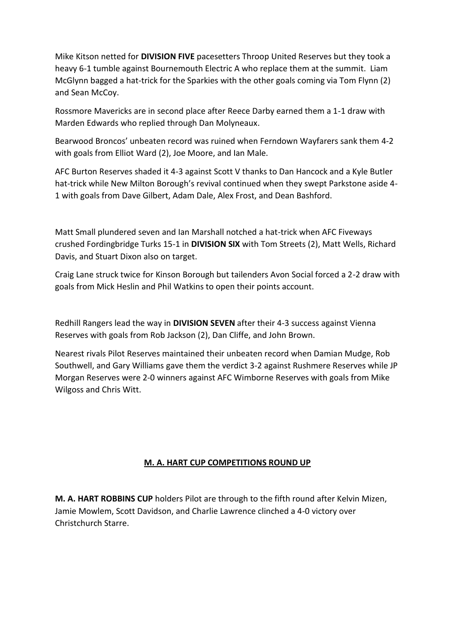Mike Kitson netted for **DIVISION FIVE** pacesetters Throop United Reserves but they took a heavy 6-1 tumble against Bournemouth Electric A who replace them at the summit. Liam McGlynn bagged a hat-trick for the Sparkies with the other goals coming via Tom Flynn (2) and Sean McCoy.

Rossmore Mavericks are in second place after Reece Darby earned them a 1-1 draw with Marden Edwards who replied through Dan Molyneaux.

Bearwood Broncos' unbeaten record was ruined when Ferndown Wayfarers sank them 4-2 with goals from Elliot Ward (2), Joe Moore, and Ian Male.

AFC Burton Reserves shaded it 4-3 against Scott V thanks to Dan Hancock and a Kyle Butler hat-trick while New Milton Borough's revival continued when they swept Parkstone aside 4- 1 with goals from Dave Gilbert, Adam Dale, Alex Frost, and Dean Bashford.

Matt Small plundered seven and Ian Marshall notched a hat-trick when AFC Fiveways crushed Fordingbridge Turks 15-1 in **DIVISION SIX** with Tom Streets (2), Matt Wells, Richard Davis, and Stuart Dixon also on target.

Craig Lane struck twice for Kinson Borough but tailenders Avon Social forced a 2-2 draw with goals from Mick Heslin and Phil Watkins to open their points account.

Redhill Rangers lead the way in **DIVISION SEVEN** after their 4-3 success against Vienna Reserves with goals from Rob Jackson (2), Dan Cliffe, and John Brown.

Nearest rivals Pilot Reserves maintained their unbeaten record when Damian Mudge, Rob Southwell, and Gary Williams gave them the verdict 3-2 against Rushmere Reserves while JP Morgan Reserves were 2-0 winners against AFC Wimborne Reserves with goals from Mike Wilgoss and Chris Witt.

## **M. A. HART CUP COMPETITIONS ROUND UP**

**M. A. HART ROBBINS CUP** holders Pilot are through to the fifth round after Kelvin Mizen, Jamie Mowlem, Scott Davidson, and Charlie Lawrence clinched a 4-0 victory over Christchurch Starre.